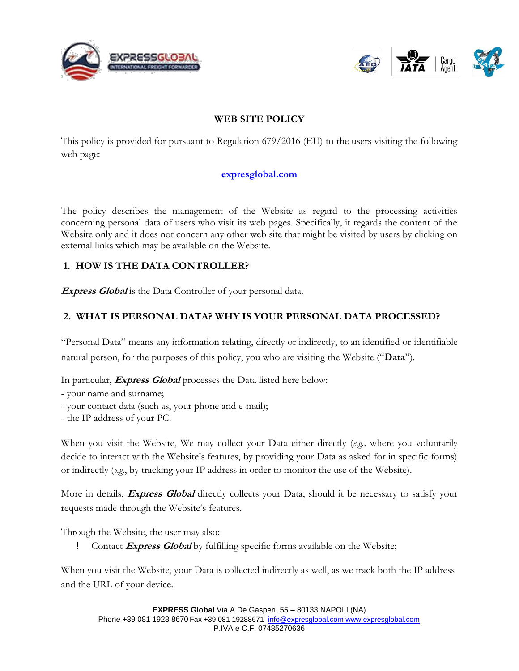



#### **WEB SITE POLICY**

This policy is provided for pursuant to Regulation 679/2016 (EU) to the users visiting the following web page:

#### **expresglobal.com**

The policy describes the management of the Website as regard to the processing activities concerning personal data of users who visit its web pages. Specifically, it regards the content of the Website only and it does not concern any other web site that might be visited by users by clicking on external links which may be available on the Website.

## **1. HOW IS THE DATA CONTROLLER?**

**Express Global** is the Data Controller of your personal data.

## **2. WHAT IS PERSONAL DATA? WHY IS YOUR PERSONAL DATA PROCESSED?**

"Personal Data" means any information relating, directly or indirectly, to an identified or identifiable natural person, for the purposes of this policy, you who are visiting the Website ("**Data**").

In particular, **Express Global** processes the Data listed here below:

- your name and surname;

- your contact data (such as, your phone and e-mail);
- the IP address of your PC.

When you visit the Website, We may collect your Data either directly (*e.g.,* where you voluntarily decide to interact with the Website's features, by providing your Data as asked for in specific forms) or indirectly (*e.g*., by tracking your IP address in order to monitor the use of the Website).

More in details, **Express Global** directly collects your Data, should it be necessary to satisfy your requests made through the Website's features.

Through the Website, the user may also:

! Contact **Express Global** by fulfilling specific forms available on the Website;

When you visit the Website, your Data is collected indirectly as well, as we track both the IP address and the URL of your device.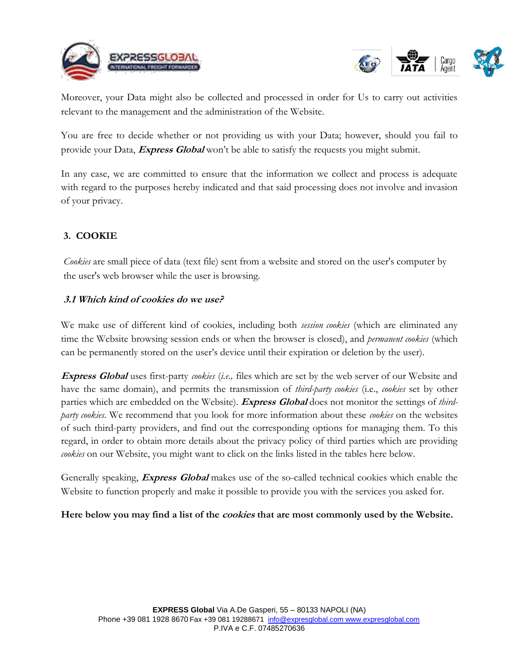





Moreover, your Data might also be collected and processed in order for Us to carry out activities relevant to the management and the administration of the Website.

You are free to decide whether or not providing us with your Data; however, should you fail to provide your Data, **Express Global** won't be able to satisfy the requests you might submit.

In any case, we are committed to ensure that the information we collect and process is adequate with regard to the purposes hereby indicated and that said processing does not involve and invasion of your privacy.

# **3. COOKIE**

*Cookies* are small piece of data (text file) sent from a website and stored on the user's computer by the user's web browser while the user is browsing.

#### **3.1 Which kind of cookies do we use?**

We make use of different kind of cookies, including both *session cookies* (which are eliminated any time the Website browsing session ends or when the browser is closed), and *permanent cookies* (which can be permanently stored on the user's device until their expiration or deletion by the user).

**Express Global** uses first-party *cookies* (*i.e.,* files which are set by the web server of our Website and have the same domain), and permits the transmission of *third-party cookies* (i.e., *cookies* set by other parties which are embedded on the Website). **Express Global** does not monitor the settings of *thirdparty cookies*. We recommend that you look for more information about these *cookies* on the websites of such third-party providers, and find out the corresponding options for managing them. To this regard, in order to obtain more details about the privacy policy of third parties which are providing *cookies* on our Website, you might want to click on the links listed in the tables here below.

Generally speaking, **Express Global** makes use of the so-called technical cookies which enable the Website to function properly and make it possible to provide you with the services you asked for.

**Here below you may find a list of the cookies that are most commonly used by the Website.**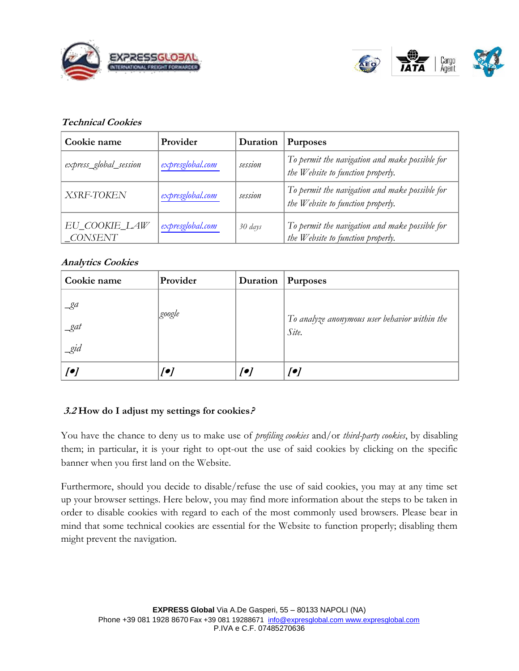



#### **Technical Cookies**

| Cookie name              | Provider         | Duration | <b>Purposes</b>                                                                     |
|--------------------------|------------------|----------|-------------------------------------------------------------------------------------|
| express_global_session   | expresglobal.com | session  | To permit the navigation and make possible for<br>the Website to function properly. |
| XSRF-TOKEN               | expresglobal.com | session  | To permit the navigation and make possible for<br>the Website to function properly. |
| EU COOKIE LAW<br>CONSENT | expresglobal.com | 30 days  | To permit the navigation and make possible for<br>the Website to function properly. |

#### **Analytics Cookies**

| Cookie name                           | Provider | Duration | <b>Purposes</b>                                        |
|---------------------------------------|----------|----------|--------------------------------------------------------|
| _ga<br>$\mathcal{A}$<br>$\mathcal{L}$ | google   |          | To analyze anonymous user behavior within the<br>Site. |
| [                                     | [●]      | [●]      | [●]                                                    |

## **3.2 How do I adjust my settings for cookies?**

You have the chance to deny us to make use of *profiling cookies* and/or *third-party cookies*, by disabling them; in particular, it is your right to opt-out the use of said cookies by clicking on the specific banner when you first land on the Website.

Furthermore, should you decide to disable/refuse the use of said cookies, you may at any time set up your browser settings. Here below, you may find more information about the steps to be taken in order to disable cookies with regard to each of the most commonly used browsers. Please bear in mind that some technical cookies are essential for the Website to function properly; disabling them might prevent the navigation.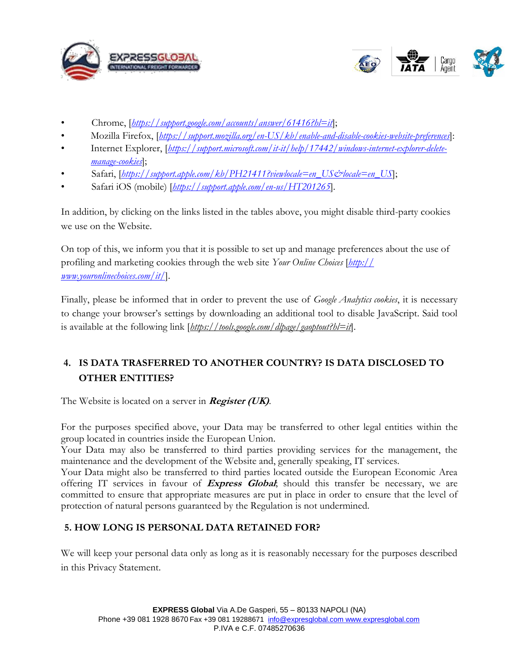



- Chrome, [*https://support.google.com/accounts/answer/61416?hl=it*];
- Mozilla Firefox, [*https://support.mozilla.org/en-US/kb/enable-and-disable-cookies-website-preferences*]:
- Internet Explorer, [*https://support.microsoft.com/it-it/help/17442/windows-internet-explorer-deletemanage-cookies*];
- Safari, [*https://support.apple.com/kb/PH21411?viewlocale=en\_US&locale=en\_US*];
- Safari iOS (mobile) [*https://support.apple.com/en-us/HT201265*].

In addition, by clicking on the links listed in the tables above, you might disable third-party cookies we use on the Website.

On top of this, we inform you that it is possible to set up and manage preferences about the use of profiling and marketing cookies through the web site *Your Online Choices* [*http:// www.youronlinechoices.com/it/*].

Finally, please be informed that in order to prevent the use of *Google Analytics cookies*, it is necessary to change your browser's settings by downloading an additional tool to disable JavaScript. Said tool is available at the following link [*https://tools.google.com/dlpage/gaoptout?hl=it*].

# **4. IS DATA TRASFERRED TO ANOTHER COUNTRY? IS DATA DISCLOSED TO OTHER ENTITIES?**

The Website is located on a server in **Register (UK)**.

For the purposes specified above, your Data may be transferred to other legal entities within the group located in countries inside the European Union.

Your Data may also be transferred to third parties providing services for the management, the maintenance and the development of the Website and, generally speaking, IT services.

Your Data might also be transferred to third parties located outside the European Economic Area offering IT services in favour of **Express Global**; should this transfer be necessary, we are committed to ensure that appropriate measures are put in place in order to ensure that the level of protection of natural persons guaranteed by the Regulation is not undermined.

## **5. HOW LONG IS PERSONAL DATA RETAINED FOR?**

We will keep your personal data only as long as it is reasonably necessary for the purposes described in this Privacy Statement.